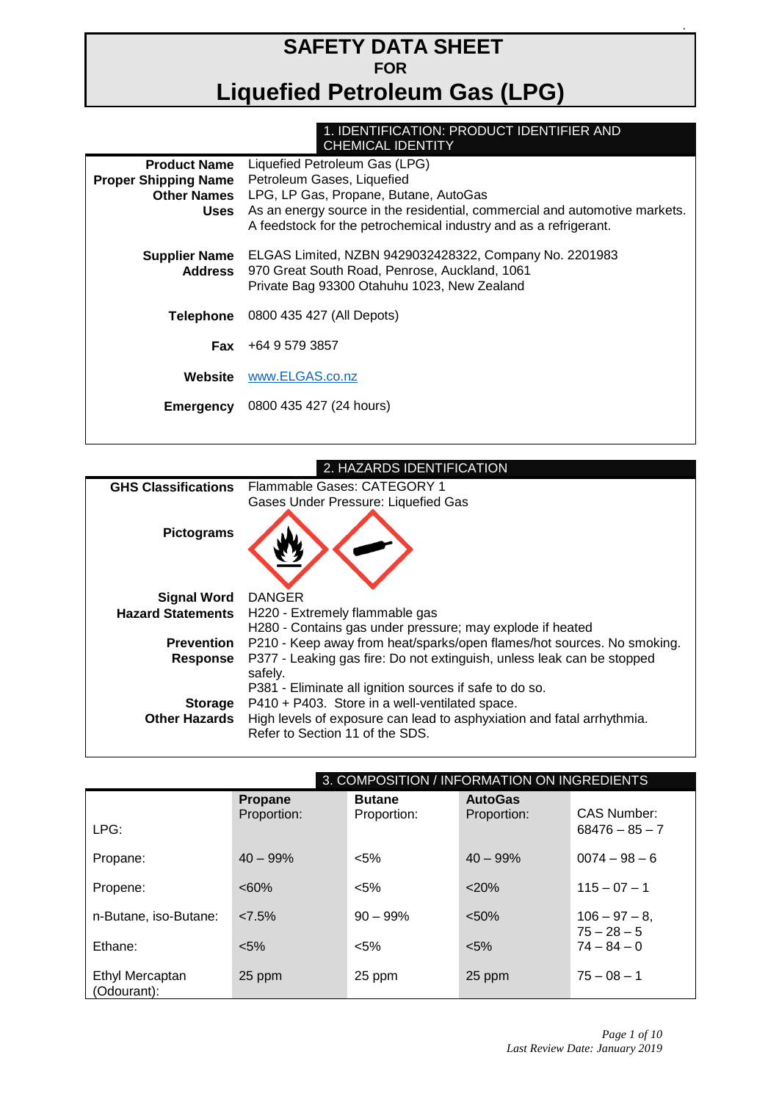# **SAFETY DATA SHEET FOR Liquefied Petroleum Gas (LPG)**

#### 1. IDENTIFICATION: PRODUCT IDENTIFIER AND CHEMICAL IDENTITY

| <b>Product Name</b>             | Liquefied Petroleum Gas (LPG)                                                                                                                          |  |  |  |
|---------------------------------|--------------------------------------------------------------------------------------------------------------------------------------------------------|--|--|--|
| <b>Proper Shipping Name</b>     | Petroleum Gases, Liquefied                                                                                                                             |  |  |  |
| <b>Other Names</b>              | LPG, LP Gas, Propane, Butane, AutoGas                                                                                                                  |  |  |  |
| Uses                            | As an energy source in the residential, commercial and automotive markets.                                                                             |  |  |  |
|                                 | A feedstock for the petrochemical industry and as a refrigerant.                                                                                       |  |  |  |
| <b>Supplier Name</b><br>Address | ELGAS Limited, NZBN 9429032428322, Company No. 2201983<br>970 Great South Road, Penrose, Auckland, 1061<br>Private Bag 93300 Otahuhu 1023, New Zealand |  |  |  |
| Telephone                       | 0800 435 427 (All Depots)                                                                                                                              |  |  |  |
| Fax                             | +64 9 579 3857                                                                                                                                         |  |  |  |
| Website                         | www.ELGAS.co.nz                                                                                                                                        |  |  |  |
| Emergency                       | 0800 435 427 (24 hours)                                                                                                                                |  |  |  |
|                                 |                                                                                                                                                        |  |  |  |

| 2. HAZARDS IDENTIFICATION                                                                                 |
|-----------------------------------------------------------------------------------------------------------|
| Flammable Gases: CATEGORY 1                                                                               |
| Gases Under Pressure: Liquefied Gas                                                                       |
| <b>DANGER</b>                                                                                             |
| H220 - Extremely flammable gas                                                                            |
| H280 - Contains gas under pressure; may explode if heated                                                 |
| P210 - Keep away from heat/sparks/open flames/hot sources. No smoking.                                    |
| P377 - Leaking gas fire: Do not extinguish, unless leak can be stopped<br>safely.                         |
| P381 - Eliminate all ignition sources if safe to do so.                                                   |
| P410 + P403. Store in a well-ventilated space.                                                            |
| High levels of exposure can lead to asphyxiation and fatal arrhythmia.<br>Refer to Section 11 of the SDS. |
| <b>GHS Classifications</b><br><b>Other Hazards</b>                                                        |

|                                |                               |                              | 3. COMPOSITION / INFORMATION ON INGREDIENTS |                                |
|--------------------------------|-------------------------------|------------------------------|---------------------------------------------|--------------------------------|
|                                | <b>Propane</b><br>Proportion: | <b>Butane</b><br>Proportion: | <b>AutoGas</b><br>Proportion:               | CAS Number:                    |
| LPG:                           |                               |                              |                                             | $68476 - 85 - 7$               |
| Propane:                       | $40 - 99%$                    | $< 5\%$                      | $40 - 99%$                                  | $0074 - 98 - 6$                |
| Propene:                       | $<60\%$                       | $< 5\%$                      | $<$ 20%                                     | $115 - 07 - 1$                 |
| n-Butane, iso-Butane:          | 27.5%                         | $90 - 99\%$                  | < 50%                                       | $106 - 97 - 8$                 |
| Ethane:                        | $< 5\%$                       | $< 5\%$                      | $< 5\%$                                     | $75 - 28 - 5$<br>$74 - 84 - 0$ |
| Ethyl Mercaptan<br>(Odourant): | 25 ppm                        | 25 ppm                       | 25 ppm                                      | $75 - 08 - 1$                  |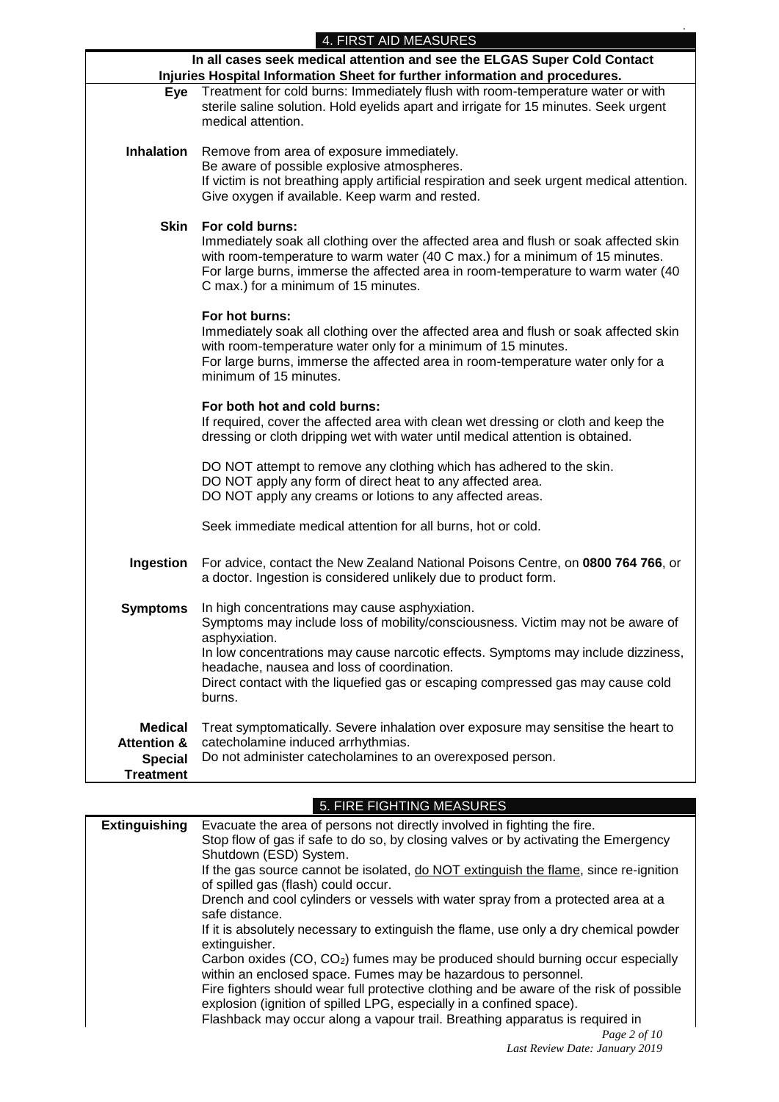*.*

|                                                                             | 4. FIRST AID MEASURES<br>In all cases seek medical attention and see the ELGAS Super Cold Contact                                                                                                                                                                                                                   |  |  |
|-----------------------------------------------------------------------------|---------------------------------------------------------------------------------------------------------------------------------------------------------------------------------------------------------------------------------------------------------------------------------------------------------------------|--|--|
| Injuries Hospital Information Sheet for further information and procedures. |                                                                                                                                                                                                                                                                                                                     |  |  |
| Eye                                                                         | Treatment for cold burns: Immediately flush with room-temperature water or with<br>sterile saline solution. Hold eyelids apart and irrigate for 15 minutes. Seek urgent<br>medical attention.                                                                                                                       |  |  |
| <b>Inhalation</b>                                                           | Remove from area of exposure immediately.<br>Be aware of possible explosive atmospheres.<br>If victim is not breathing apply artificial respiration and seek urgent medical attention.<br>Give oxygen if available. Keep warm and rested.                                                                           |  |  |
| <b>Skin</b>                                                                 | For cold burns:<br>Immediately soak all clothing over the affected area and flush or soak affected skin<br>with room-temperature to warm water (40 C max.) for a minimum of 15 minutes.<br>For large burns, immerse the affected area in room-temperature to warm water (40<br>C max.) for a minimum of 15 minutes. |  |  |
|                                                                             | For hot burns:<br>Immediately soak all clothing over the affected area and flush or soak affected skin<br>with room-temperature water only for a minimum of 15 minutes.<br>For large burns, immerse the affected area in room-temperature water only for a<br>minimum of 15 minutes.                                |  |  |
|                                                                             | For both hot and cold burns:<br>If required, cover the affected area with clean wet dressing or cloth and keep the<br>dressing or cloth dripping wet with water until medical attention is obtained.                                                                                                                |  |  |
|                                                                             | DO NOT attempt to remove any clothing which has adhered to the skin.<br>DO NOT apply any form of direct heat to any affected area.<br>DO NOT apply any creams or lotions to any affected areas.                                                                                                                     |  |  |
|                                                                             | Seek immediate medical attention for all burns, hot or cold.                                                                                                                                                                                                                                                        |  |  |
| Ingestion                                                                   | For advice, contact the New Zealand National Poisons Centre, on 0800 764 766, or<br>a doctor. Ingestion is considered unlikely due to product form.                                                                                                                                                                 |  |  |
| <b>Symptoms</b>                                                             | In high concentrations may cause asphyxiation.<br>Symptoms may include loss of mobility/consciousness. Victim may not be aware of<br>asphyxiation.                                                                                                                                                                  |  |  |
|                                                                             | In low concentrations may cause narcotic effects. Symptoms may include dizziness,                                                                                                                                                                                                                                   |  |  |
|                                                                             | headache, nausea and loss of coordination.<br>Direct contact with the liquefied gas or escaping compressed gas may cause cold<br>burns.                                                                                                                                                                             |  |  |
| <b>Medical</b>                                                              | Treat symptomatically. Severe inhalation over exposure may sensitise the heart to                                                                                                                                                                                                                                   |  |  |
| <b>Attention &amp;</b><br><b>Special</b>                                    | catecholamine induced arrhythmias.<br>Do not administer catecholamines to an overexposed person.                                                                                                                                                                                                                    |  |  |
| <b>Treatment</b>                                                            |                                                                                                                                                                                                                                                                                                                     |  |  |
|                                                                             |                                                                                                                                                                                                                                                                                                                     |  |  |

#### 5. FIRE FIGHTING MEASURES

| <b>Extinguishing</b> | Evacuate the area of persons not directly involved in fighting the fire.<br>Stop flow of gas if safe to do so, by closing valves or by activating the Emergency |
|----------------------|-----------------------------------------------------------------------------------------------------------------------------------------------------------------|
|                      | Shutdown (ESD) System.                                                                                                                                          |
|                      | If the gas source cannot be isolated, do NOT extinguish the flame, since re-ignition<br>of spilled gas (flash) could occur.                                     |
|                      | Drench and cool cylinders or vessels with water spray from a protected area at a<br>safe distance.                                                              |
|                      | If it is absolutely necessary to extinguish the flame, use only a dry chemical powder<br>extinguisher.                                                          |
|                      | Carbon oxides (CO, CO <sub>2</sub> ) fumes may be produced should burning occur especially<br>within an enclosed space. Fumes may be hazardous to personnel.    |
|                      | Fire fighters should wear full protective clothing and be aware of the risk of possible<br>explosion (ignition of spilled LPG, especially in a confined space). |
|                      | Flashback may occur along a vapour trail. Breathing apparatus is required in                                                                                    |
|                      | Page $2$ of $10$                                                                                                                                                |
|                      | Last Review Date: January 2019                                                                                                                                  |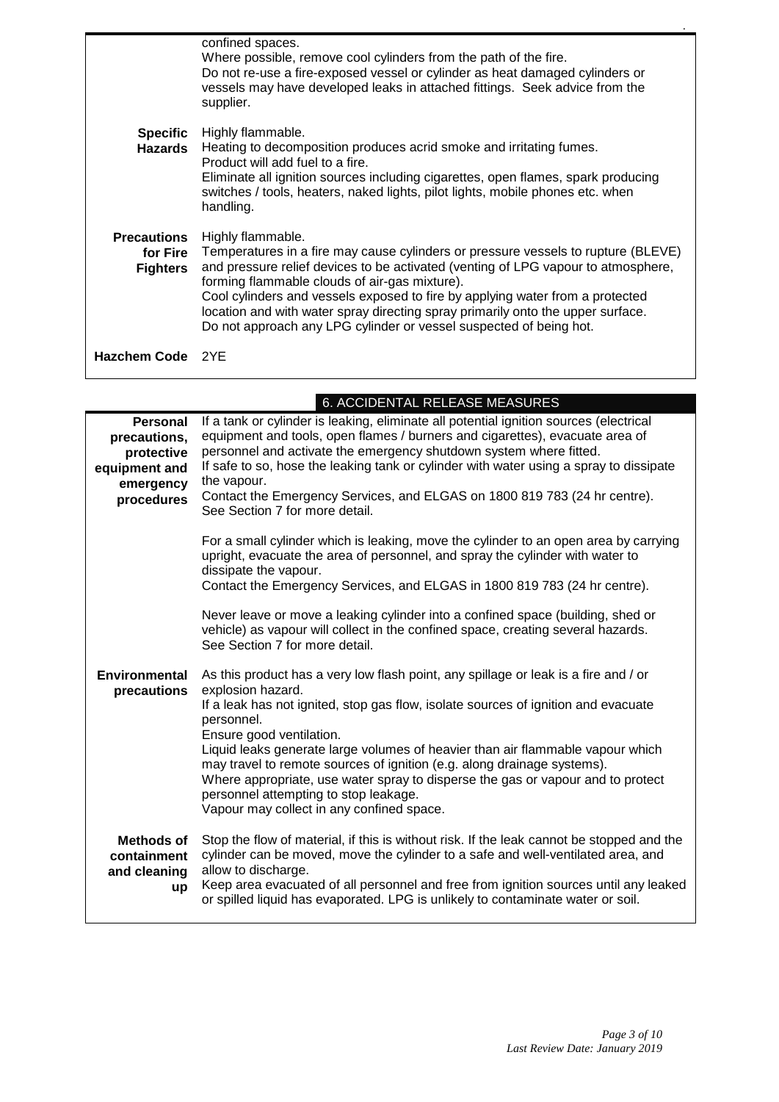|                                                   | confined spaces.<br>Where possible, remove cool cylinders from the path of the fire.<br>Do not re-use a fire-exposed vessel or cylinder as heat damaged cylinders or<br>vessels may have developed leaks in attached fittings. Seek advice from the<br>supplier.                                                                                                                                                                                                                       |
|---------------------------------------------------|----------------------------------------------------------------------------------------------------------------------------------------------------------------------------------------------------------------------------------------------------------------------------------------------------------------------------------------------------------------------------------------------------------------------------------------------------------------------------------------|
| <b>Specific</b><br>Hazards                        | Highly flammable.<br>Heating to decomposition produces acrid smoke and irritating fumes.<br>Product will add fuel to a fire.<br>Eliminate all ignition sources including cigarettes, open flames, spark producing<br>switches / tools, heaters, naked lights, pilot lights, mobile phones etc. when                                                                                                                                                                                    |
|                                                   | handling.                                                                                                                                                                                                                                                                                                                                                                                                                                                                              |
| <b>Precautions</b><br>for Fire<br><b>Fighters</b> | Highly flammable.<br>Temperatures in a fire may cause cylinders or pressure vessels to rupture (BLEVE)<br>and pressure relief devices to be activated (venting of LPG vapour to atmosphere,<br>forming flammable clouds of air-gas mixture).<br>Cool cylinders and vessels exposed to fire by applying water from a protected<br>location and with water spray directing spray primarily onto the upper surface.<br>Do not approach any LPG cylinder or vessel suspected of being hot. |
| Hazchem Code 2YE                                  |                                                                                                                                                                                                                                                                                                                                                                                                                                                                                        |

6. ACCIDENTAL RELEASE MEASURES

| <b>Personal</b><br>precautions,<br>protective<br>equipment and<br>emergency<br>procedures | If a tank or cylinder is leaking, eliminate all potential ignition sources (electrical<br>equipment and tools, open flames / burners and cigarettes), evacuate area of<br>personnel and activate the emergency shutdown system where fitted.<br>If safe to so, hose the leaking tank or cylinder with water using a spray to dissipate<br>the vapour.<br>Contact the Emergency Services, and ELGAS on 1800 819 783 (24 hr centre).<br>See Section 7 for more detail.                                                                                                           |
|-------------------------------------------------------------------------------------------|--------------------------------------------------------------------------------------------------------------------------------------------------------------------------------------------------------------------------------------------------------------------------------------------------------------------------------------------------------------------------------------------------------------------------------------------------------------------------------------------------------------------------------------------------------------------------------|
|                                                                                           | For a small cylinder which is leaking, move the cylinder to an open area by carrying<br>upright, evacuate the area of personnel, and spray the cylinder with water to<br>dissipate the vapour.<br>Contact the Emergency Services, and ELGAS in 1800 819 783 (24 hr centre).                                                                                                                                                                                                                                                                                                    |
|                                                                                           | Never leave or move a leaking cylinder into a confined space (building, shed or<br>vehicle) as vapour will collect in the confined space, creating several hazards.<br>See Section 7 for more detail.                                                                                                                                                                                                                                                                                                                                                                          |
| <b>Environmental</b><br>precautions                                                       | As this product has a very low flash point, any spillage or leak is a fire and / or<br>explosion hazard.<br>If a leak has not ignited, stop gas flow, isolate sources of ignition and evacuate<br>personnel.<br>Ensure good ventilation.<br>Liquid leaks generate large volumes of heavier than air flammable vapour which<br>may travel to remote sources of ignition (e.g. along drainage systems).<br>Where appropriate, use water spray to disperse the gas or vapour and to protect<br>personnel attempting to stop leakage.<br>Vapour may collect in any confined space. |
| <b>Methods of</b><br>containment<br>and cleaning<br><b>up</b>                             | Stop the flow of material, if this is without risk. If the leak cannot be stopped and the<br>cylinder can be moved, move the cylinder to a safe and well-ventilated area, and<br>allow to discharge.<br>Keep area evacuated of all personnel and free from ignition sources until any leaked<br>or spilled liquid has evaporated. LPG is unlikely to contaminate water or soil.                                                                                                                                                                                                |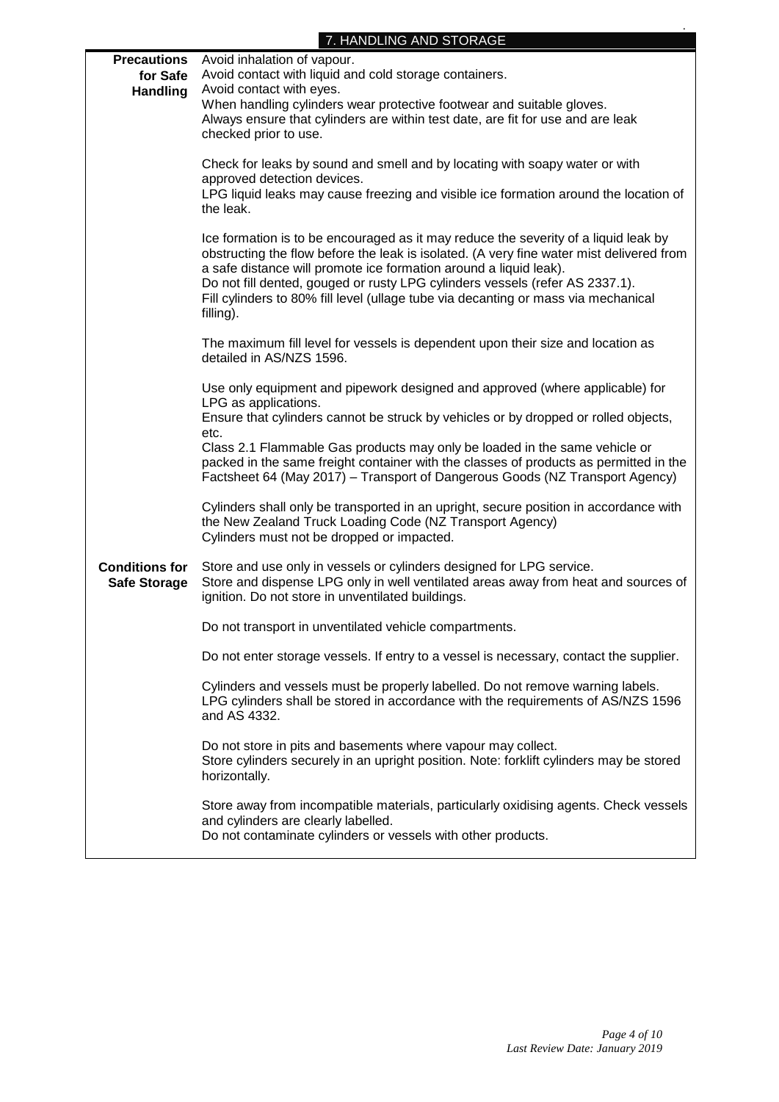### 7. HANDLING AND STORAGE

| <b>Precautions</b><br>for Safe<br><b>Handling</b> | Avoid inhalation of vapour.<br>Avoid contact with liquid and cold storage containers.<br>Avoid contact with eyes.<br>When handling cylinders wear protective footwear and suitable gloves.<br>Always ensure that cylinders are within test date, are fit for use and are leak<br>checked prior to use.                                                                                                                                  |
|---------------------------------------------------|-----------------------------------------------------------------------------------------------------------------------------------------------------------------------------------------------------------------------------------------------------------------------------------------------------------------------------------------------------------------------------------------------------------------------------------------|
|                                                   | Check for leaks by sound and smell and by locating with soapy water or with<br>approved detection devices.<br>LPG liquid leaks may cause freezing and visible ice formation around the location of<br>the leak.                                                                                                                                                                                                                         |
|                                                   | Ice formation is to be encouraged as it may reduce the severity of a liquid leak by<br>obstructing the flow before the leak is isolated. (A very fine water mist delivered from<br>a safe distance will promote ice formation around a liquid leak).<br>Do not fill dented, gouged or rusty LPG cylinders vessels (refer AS 2337.1).<br>Fill cylinders to 80% fill level (ullage tube via decanting or mass via mechanical<br>filling). |
|                                                   | The maximum fill level for vessels is dependent upon their size and location as<br>detailed in AS/NZS 1596.                                                                                                                                                                                                                                                                                                                             |
|                                                   | Use only equipment and pipework designed and approved (where applicable) for<br>LPG as applications.<br>Ensure that cylinders cannot be struck by vehicles or by dropped or rolled objects,<br>etc.<br>Class 2.1 Flammable Gas products may only be loaded in the same vehicle or<br>packed in the same freight container with the classes of products as permitted in the                                                              |
|                                                   | Factsheet 64 (May 2017) - Transport of Dangerous Goods (NZ Transport Agency)<br>Cylinders shall only be transported in an upright, secure position in accordance with<br>the New Zealand Truck Loading Code (NZ Transport Agency)<br>Cylinders must not be dropped or impacted.                                                                                                                                                         |
| <b>Conditions for</b><br><b>Safe Storage</b>      | Store and use only in vessels or cylinders designed for LPG service.<br>Store and dispense LPG only in well ventilated areas away from heat and sources of<br>ignition. Do not store in unventilated buildings.                                                                                                                                                                                                                         |
|                                                   | Do not transport in unventilated vehicle compartments.                                                                                                                                                                                                                                                                                                                                                                                  |
|                                                   | Do not enter storage vessels. If entry to a vessel is necessary, contact the supplier.                                                                                                                                                                                                                                                                                                                                                  |
|                                                   | Cylinders and vessels must be properly labelled. Do not remove warning labels.<br>LPG cylinders shall be stored in accordance with the requirements of AS/NZS 1596<br>and AS 4332.                                                                                                                                                                                                                                                      |
|                                                   | Do not store in pits and basements where vapour may collect.<br>Store cylinders securely in an upright position. Note: forklift cylinders may be stored<br>horizontally.                                                                                                                                                                                                                                                                |
|                                                   | Store away from incompatible materials, particularly oxidising agents. Check vessels<br>and cylinders are clearly labelled.<br>Do not contaminate cylinders or vessels with other products.                                                                                                                                                                                                                                             |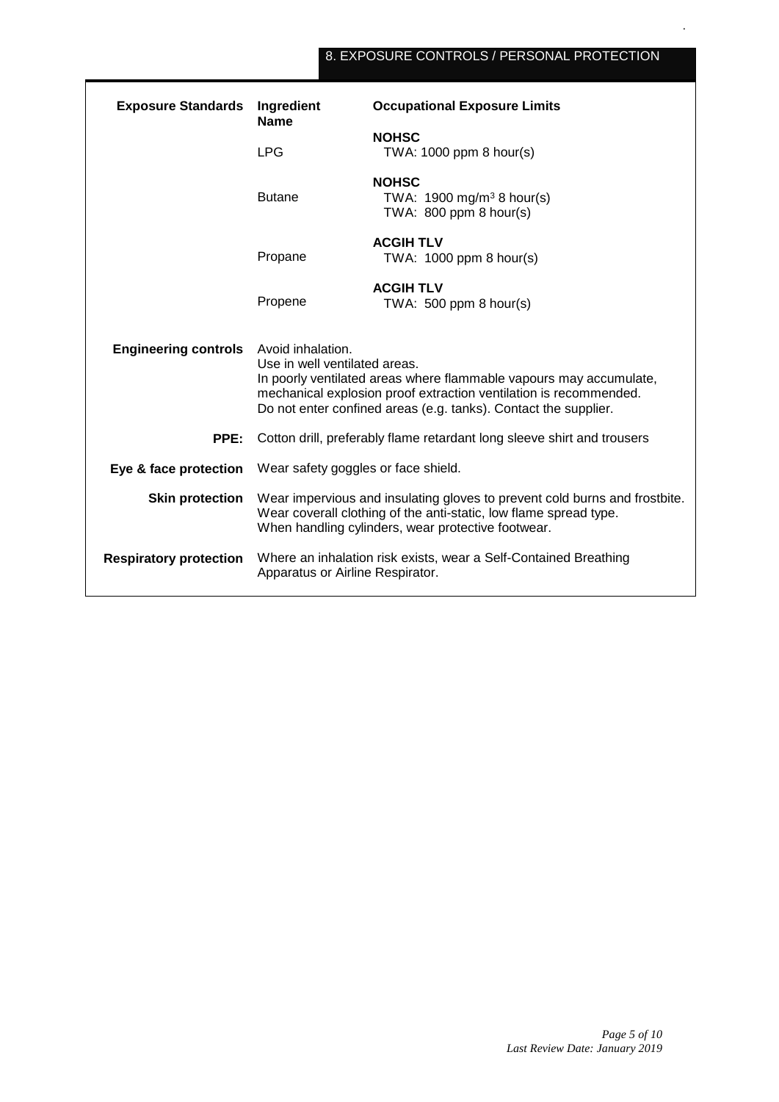## 8. EXPOSURE CONTROLS / PERSONAL PROTECTION

| <b>Exposure Standards</b>     | <b>Occupational Exposure Limits</b><br>Ingredient<br><b>Name</b>                                                                                                                                                                                                 |                                                                                    |  |
|-------------------------------|------------------------------------------------------------------------------------------------------------------------------------------------------------------------------------------------------------------------------------------------------------------|------------------------------------------------------------------------------------|--|
|                               | <b>LPG</b>                                                                                                                                                                                                                                                       | <b>NOHSC</b><br>TWA: $1000$ ppm 8 hour(s)                                          |  |
|                               | <b>Butane</b>                                                                                                                                                                                                                                                    | <b>NOHSC</b><br>TWA: $1900 \text{ mg/m}^3$ 8 hour(s)<br>TWA: $800$ ppm $8$ hour(s) |  |
|                               | Propane                                                                                                                                                                                                                                                          | <b>ACGIH TLV</b><br>TWA: 1000 ppm 8 hour(s)                                        |  |
|                               | Propene                                                                                                                                                                                                                                                          | <b>ACGIH TLV</b><br>TWA: $500$ ppm 8 hour(s)                                       |  |
| <b>Engineering controls</b>   | Avoid inhalation.<br>Use in well ventilated areas.<br>In poorly ventilated areas where flammable vapours may accumulate,<br>mechanical explosion proof extraction ventilation is recommended.<br>Do not enter confined areas (e.g. tanks). Contact the supplier. |                                                                                    |  |
| PPE:                          | Cotton drill, preferably flame retardant long sleeve shirt and trousers                                                                                                                                                                                          |                                                                                    |  |
| Eye & face protection         | Wear safety goggles or face shield.                                                                                                                                                                                                                              |                                                                                    |  |
| <b>Skin protection</b>        | Wear impervious and insulating gloves to prevent cold burns and frostbite.<br>Wear coverall clothing of the anti-static, low flame spread type.<br>When handling cylinders, wear protective footwear.                                                            |                                                                                    |  |
| <b>Respiratory protection</b> | Where an inhalation risk exists, wear a Self-Contained Breathing<br>Apparatus or Airline Respirator.                                                                                                                                                             |                                                                                    |  |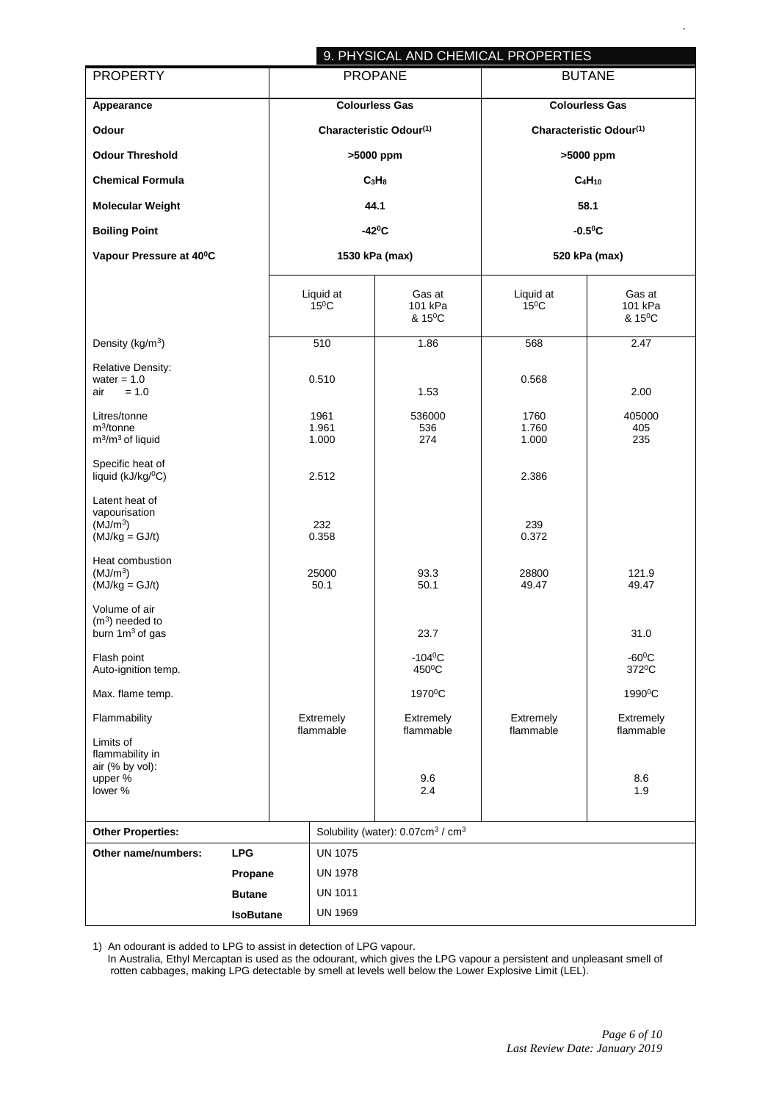|                                                                             |                  |                               |                                                           | 9. PHYSICAL AND CHEMICAL PROPERTIES |                                          |
|-----------------------------------------------------------------------------|------------------|-------------------------------|-----------------------------------------------------------|-------------------------------------|------------------------------------------|
| <b>PROPERTY</b>                                                             |                  | <b>PROPANE</b>                |                                                           | <b>BUTANE</b>                       |                                          |
| Appearance                                                                  |                  | <b>Colourless Gas</b>         |                                                           | <b>Colourless Gas</b>               |                                          |
| Odour                                                                       |                  | Characteristic Odour(1)       |                                                           | Characteristic Odour(1)             |                                          |
| <b>Odour Threshold</b>                                                      |                  | >5000 ppm                     |                                                           | >5000 ppm                           |                                          |
| <b>Chemical Formula</b>                                                     |                  | C <sub>3</sub> H <sub>8</sub> |                                                           | $C_4H_{10}$                         |                                          |
| <b>Molecular Weight</b>                                                     |                  | 44.1                          |                                                           | 58.1                                |                                          |
| <b>Boiling Point</b>                                                        |                  | $-42^{\circ}C$                |                                                           | $-0.5$ <sup>o</sup> C               |                                          |
| Vapour Pressure at 40°C                                                     |                  | 1530 kPa (max)                |                                                           | 520 kPa (max)                       |                                          |
|                                                                             |                  | Liquid at<br>$15^{\circ}$ C   | Gas at<br>101 kPa<br>& 15 <sup>0</sup> C                  | Liquid at<br>$15^{\circ}$ C         | Gas at<br>101 kPa<br>& 15 <sup>0</sup> C |
| Density (kg/m <sup>3</sup> )                                                |                  | 510                           | 1.86                                                      | 568                                 | 2.47                                     |
| <b>Relative Density:</b><br>water = $1.0$<br>$= 1.0$<br>air                 |                  | 0.510                         | 1.53                                                      | 0.568                               | 2.00                                     |
| Litres/tonne<br>$m^3$ /tonne<br>$m^3/m^3$ of liquid                         |                  | 1961<br>1.961<br>1.000        | 536000<br>536<br>274                                      | 1760<br>1.760<br>1.000              | 405000<br>405<br>235                     |
| Specific heat of<br>liquid (kJ/kg/ <sup>0</sup> C)                          |                  | 2.512                         |                                                           | 2.386                               |                                          |
| Latent heat of<br>vapourisation<br>(MJ/m <sup>3</sup> )<br>$(MJ/kg = GJ/t)$ |                  | 232<br>0.358                  |                                                           | 239<br>0.372                        |                                          |
| Heat combustion<br>(MJ/m <sup>3</sup> )<br>$(MJ/kg = GJ/t)$                 |                  | 25000<br>50.1                 | 93.3<br>50.1                                              | 28800<br>49.47                      | 121.9<br>49.47                           |
| Volume of air<br>$(m3)$ needed to<br>burn 1m <sup>3</sup> of gas            |                  |                               | 23.7                                                      |                                     | 31.0                                     |
| Flash point<br>Auto-ignition temp.                                          |                  |                               | $-104$ <sup>o</sup> C<br>450°C                            |                                     | $-60^{\circ}$ C<br>372 <sup>0</sup> C    |
| Max. flame temp.                                                            |                  |                               | 1970 <sup>°</sup> C                                       |                                     | 1990 <sup>°</sup> C                      |
| Flammability                                                                |                  | Extremely<br>flammable        | Extremely<br>flammable                                    | Extremely<br>flammable              | Extremely<br>flammable                   |
| Limits of<br>flammability in<br>air (% by vol):<br>upper %<br>lower %       |                  |                               | 9.6<br>2.4                                                |                                     | 8.6<br>1.9                               |
| <b>Other Properties:</b>                                                    |                  |                               | Solubility (water): 0.07cm <sup>3</sup> / cm <sup>3</sup> |                                     |                                          |
| <b>LPG</b><br>Other name/numbers:                                           |                  | <b>UN 1075</b>                |                                                           |                                     |                                          |
| Propane                                                                     |                  | <b>UN 1978</b>                |                                                           |                                     |                                          |
| <b>Butane</b>                                                               |                  | <b>UN 1011</b>                |                                                           |                                     |                                          |
|                                                                             | <b>IsoButane</b> | <b>UN 1969</b>                |                                                           |                                     |                                          |

1) An odourant is added to LPG to assist in detection of LPG vapour.

 In Australia, Ethyl Mercaptan is used as the odourant, which gives the LPG vapour a persistent and unpleasant smell of rotten cabbages, making LPG detectable by smell at levels well below the Lower Explosive Limit (LEL).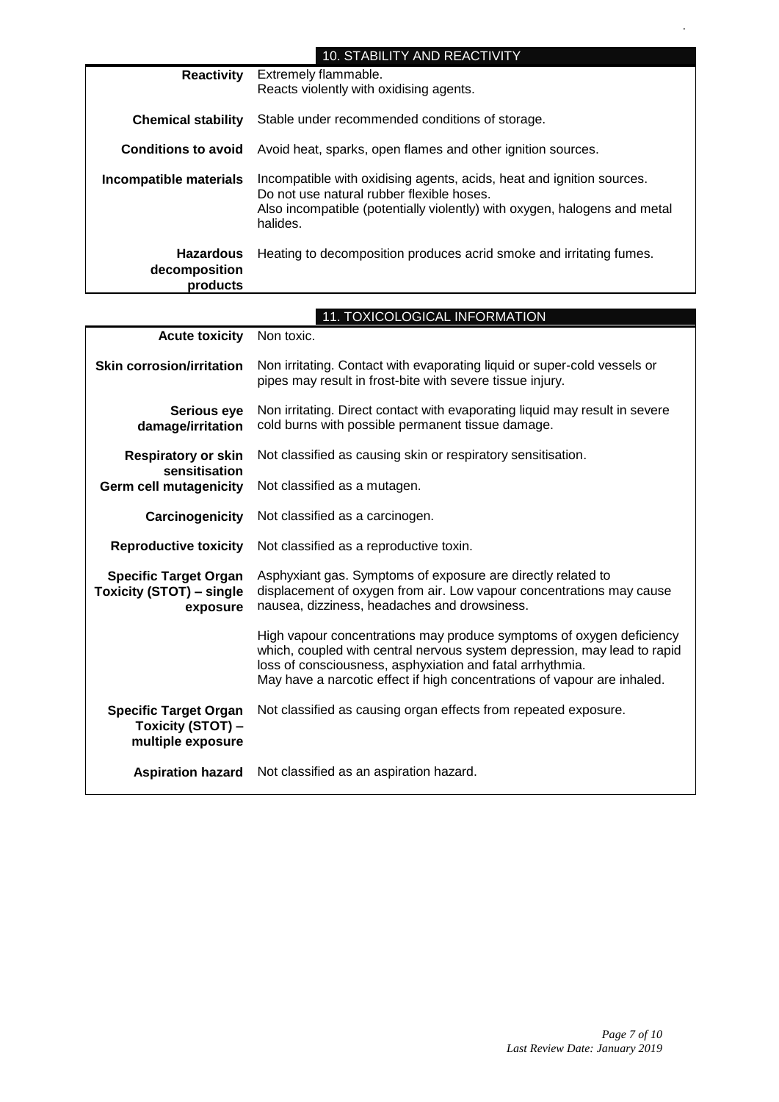|                                               | <b>10. STABILITY AND REACTIVITY</b>                                                                                                                                                                         |
|-----------------------------------------------|-------------------------------------------------------------------------------------------------------------------------------------------------------------------------------------------------------------|
| <b>Reactivity</b>                             | Extremely flammable.<br>Reacts violently with oxidising agents.                                                                                                                                             |
| <b>Chemical stability</b>                     | Stable under recommended conditions of storage.                                                                                                                                                             |
| <b>Conditions to avoid</b>                    | Avoid heat, sparks, open flames and other ignition sources.                                                                                                                                                 |
| Incompatible materials                        | Incompatible with oxidising agents, acids, heat and ignition sources.<br>Do not use natural rubber flexible hoses.<br>Also incompatible (potentially violently) with oxygen, halogens and metal<br>halides. |
| <b>Hazardous</b><br>decomposition<br>products | Heating to decomposition produces acrid smoke and irritating fumes.                                                                                                                                         |

|                                                                             | 11. TOXICOLOGICAL INFORMATION                                                                                                                                                                                                                                                             |  |  |
|-----------------------------------------------------------------------------|-------------------------------------------------------------------------------------------------------------------------------------------------------------------------------------------------------------------------------------------------------------------------------------------|--|--|
| <b>Acute toxicity</b>                                                       | Non toxic.                                                                                                                                                                                                                                                                                |  |  |
| <b>Skin corrosion/irritation</b>                                            | Non irritating. Contact with evaporating liquid or super-cold vessels or<br>pipes may result in frost-bite with severe tissue injury.                                                                                                                                                     |  |  |
| Serious eye<br>damage/irritation                                            | Non irritating. Direct contact with evaporating liquid may result in severe<br>cold burns with possible permanent tissue damage.                                                                                                                                                          |  |  |
| <b>Respiratory or skin</b><br>sensitisation                                 | Not classified as causing skin or respiratory sensitisation.                                                                                                                                                                                                                              |  |  |
| <b>Germ cell mutagenicity</b>                                               | Not classified as a mutagen.                                                                                                                                                                                                                                                              |  |  |
| Carcinogenicity                                                             | Not classified as a carcinogen.                                                                                                                                                                                                                                                           |  |  |
| <b>Reproductive toxicity</b>                                                | Not classified as a reproductive toxin.                                                                                                                                                                                                                                                   |  |  |
| <b>Specific Target Organ</b><br><b>Toxicity (STOT) - single</b><br>exposure | Asphyxiant gas. Symptoms of exposure are directly related to<br>displacement of oxygen from air. Low vapour concentrations may cause<br>nausea, dizziness, headaches and drowsiness.                                                                                                      |  |  |
|                                                                             | High vapour concentrations may produce symptoms of oxygen deficiency<br>which, coupled with central nervous system depression, may lead to rapid<br>loss of consciousness, asphyxiation and fatal arrhythmia.<br>May have a narcotic effect if high concentrations of vapour are inhaled. |  |  |
| <b>Specific Target Organ</b><br>Toxicity (STOT) -<br>multiple exposure      | Not classified as causing organ effects from repeated exposure.                                                                                                                                                                                                                           |  |  |
| <b>Aspiration hazard</b>                                                    | Not classified as an aspiration hazard.                                                                                                                                                                                                                                                   |  |  |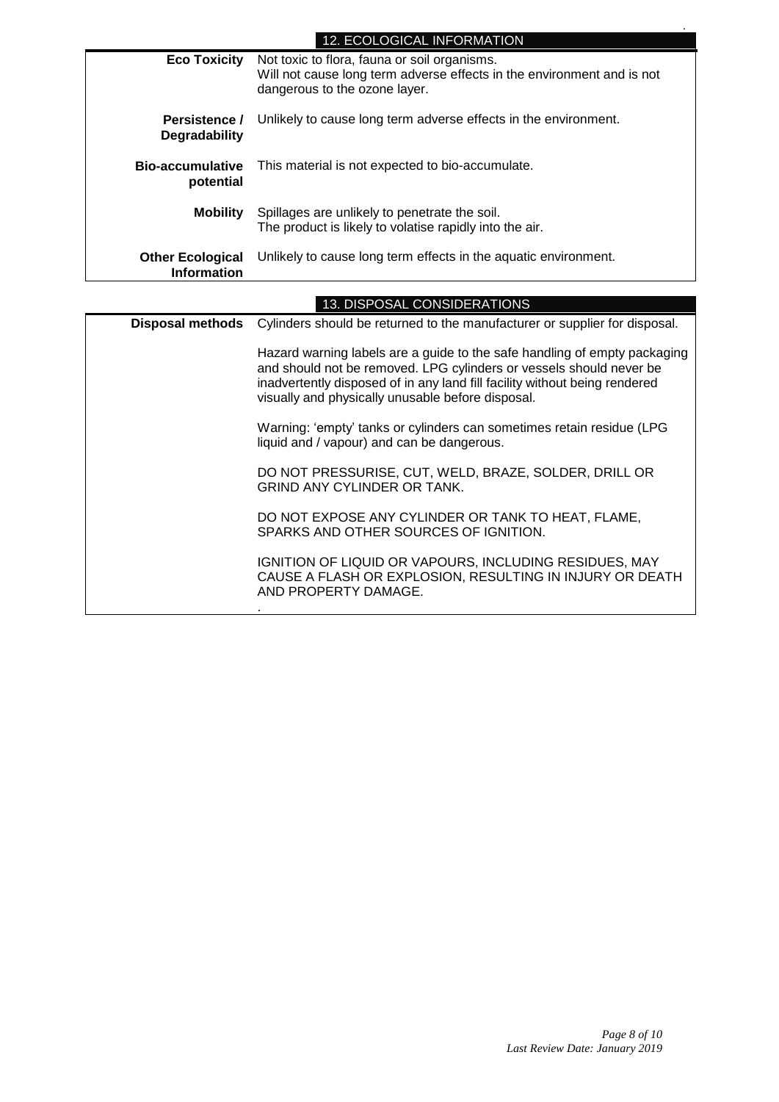### 12. ECOLOGICAL INFORMATION

| <b>Eco Toxicity</b>                           | Not toxic to flora, fauna or soil organisms.<br>Will not cause long term adverse effects in the environment and is not<br>dangerous to the ozone layer. |
|-----------------------------------------------|---------------------------------------------------------------------------------------------------------------------------------------------------------|
| Persistence /<br>Degradability                | Unlikely to cause long term adverse effects in the environment.                                                                                         |
| <b>Bio-accumulative</b><br>potential          | This material is not expected to bio-accumulate.                                                                                                        |
| <b>Mobility</b>                               | Spillages are unlikely to penetrate the soil.<br>The product is likely to volatise rapidly into the air.                                                |
| <b>Other Ecological</b><br><b>Information</b> | Unlikely to cause long term effects in the aquatic environment.                                                                                         |

| 13. DISPOSAL CONSIDERATIONS |                                                                                                                                                                                                                                                                                     |  |  |
|-----------------------------|-------------------------------------------------------------------------------------------------------------------------------------------------------------------------------------------------------------------------------------------------------------------------------------|--|--|
| <b>Disposal methods</b>     | Cylinders should be returned to the manufacturer or supplier for disposal.                                                                                                                                                                                                          |  |  |
|                             | Hazard warning labels are a guide to the safe handling of empty packaging<br>and should not be removed. LPG cylinders or vessels should never be<br>inadvertently disposed of in any land fill facility without being rendered<br>visually and physically unusable before disposal. |  |  |
|                             | Warning: 'empty' tanks or cylinders can sometimes retain residue (LPG<br>liquid and / vapour) and can be dangerous.                                                                                                                                                                 |  |  |
|                             | DO NOT PRESSURISE, CUT, WELD, BRAZE, SOLDER, DRILL OR<br><b>GRIND ANY CYLINDER OR TANK.</b>                                                                                                                                                                                         |  |  |
|                             | DO NOT EXPOSE ANY CYLINDER OR TANK TO HEAT, FLAME,<br>SPARKS AND OTHER SOURCES OF IGNITION.                                                                                                                                                                                         |  |  |
|                             | IGNITION OF LIQUID OR VAPOURS, INCLUDING RESIDUES, MAY<br>CAUSE A FLASH OR EXPLOSION, RESULTING IN INJURY OR DEATH<br>AND PROPERTY DAMAGE.                                                                                                                                          |  |  |
|                             |                                                                                                                                                                                                                                                                                     |  |  |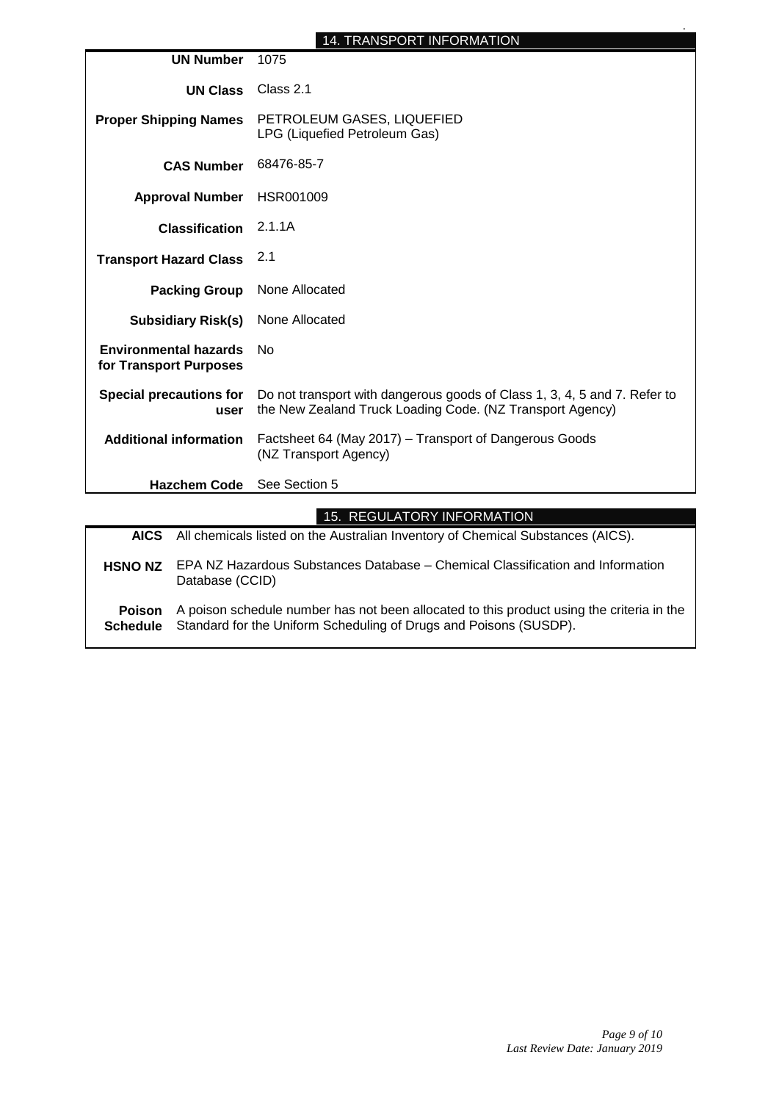|                                                        | <b>14. TRANSPORT INFORMATION</b>                                                                                                       |  |
|--------------------------------------------------------|----------------------------------------------------------------------------------------------------------------------------------------|--|
| <b>UN Number</b>                                       | 1075                                                                                                                                   |  |
| <b>UN Class</b>                                        | Class 2.1                                                                                                                              |  |
| <b>Proper Shipping Names</b>                           | PETROLEUM GASES, LIQUEFIED<br>LPG (Liquefied Petroleum Gas)                                                                            |  |
| <b>CAS Number</b>                                      | 68476-85-7                                                                                                                             |  |
| <b>Approval Number</b>                                 | HSR001009                                                                                                                              |  |
| <b>Classification</b>                                  | 2.1.1A                                                                                                                                 |  |
| <b>Transport Hazard Class</b>                          | 2.1                                                                                                                                    |  |
| <b>Packing Group</b>                                   | None Allocated                                                                                                                         |  |
| <b>Subsidiary Risk(s)</b>                              | None Allocated                                                                                                                         |  |
| <b>Environmental hazards</b><br>for Transport Purposes | No                                                                                                                                     |  |
| <b>Special precautions for</b><br>user                 | Do not transport with dangerous goods of Class 1, 3, 4, 5 and 7. Refer to<br>the New Zealand Truck Loading Code. (NZ Transport Agency) |  |
| <b>Additional information</b>                          | Factsheet 64 (May 2017) – Transport of Dangerous Goods<br>(NZ Transport Agency)                                                        |  |
| <b>Hazchem Code</b>                                    | See Section 5                                                                                                                          |  |
|                                                        | 15. REGULATORY INFORMATION                                                                                                             |  |

|                                  | 10. INLOULINIOIN INI OINIIN INOIN                                                                                                                              |
|----------------------------------|----------------------------------------------------------------------------------------------------------------------------------------------------------------|
|                                  | AICS All chemicals listed on the Australian Inventory of Chemical Substances (AICS).                                                                           |
| <b>HSNO NZ</b>                   | EPA NZ Hazardous Substances Database – Chemical Classification and Information<br>Database (CCID)                                                              |
| <b>Poison</b><br><b>Schedule</b> | A poison schedule number has not been allocated to this product using the criteria in the<br>Standard for the Uniform Scheduling of Drugs and Poisons (SUSDP). |